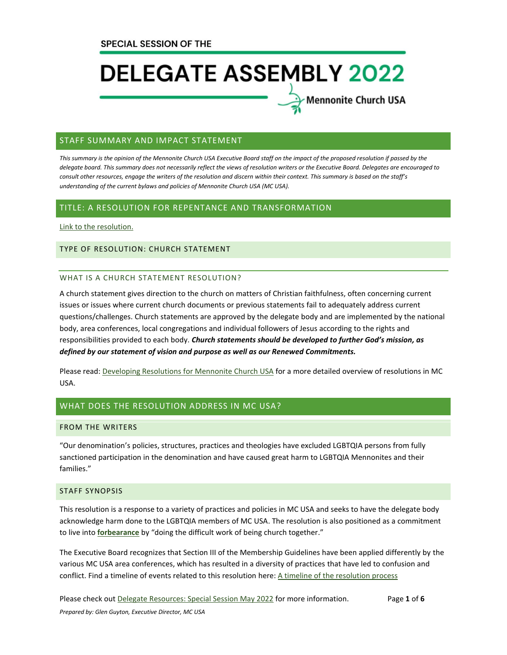Mennonite Church USA

### STAFF SUMMARY AND IMPACT STATEMENT

*This summary is the opinion of the Mennonite Church USA Executive Board staff on the impact of the proposed resolution if passed by the delegate board. This summary does not necessarily reflect the views of resolution writers or the Executive Board. Delegates are encouraged to consult other resources, engage the writers of the resolution and discern within their context. This summary is based on the staff's understanding of the current bylaws and policies of Mennonite Church USA (MC USA).*

#### TITLE: A RESOLUTION FOR REPENTANCE AND TRANSFORMATION

[Link to the resolution.](https://www.mennoniteusa.org/wp-content/uploads/2021/10/A-Resolution-for-Repentance-and-Transformation-Rev-2.0.pdf)

#### TYPE OF RESOLUTION: CHURCH STATEMENT

#### WHAT IS A CHURCH STATEMENT RESOLUTION?

A church statement gives direction to the church on matters of Christian faithfulness, often concerning current issues or issues where current church documents or previous statements fail to adequately address current questions/challenges. Church statements are approved by the delegate body and are implemented by the national body, area conferences, local congregations and individual followers of Jesus according to the rights and responsibilities provided to each body. *Church statements should be developed to further God's mission, as defined by our statement of vision and purpose as well as our Renewed Commitments.*

Please read: [Developing Resolutions for Mennonite Church USA](https://www.mennoniteusa.org/wp-content/uploads/2020/06/Developing-Resolutions-for-MC-USA-Approved-January-2020.pdf) for a more detailed overview of resolutions in MC USA.

# WHAT DOES THE RESOLUTION ADDRESS IN MC USA?

#### FROM THE WRITERS

"Our denomination's policies, structures, practices and theologies have excluded LGBTQIA persons from fully sanctioned participation in the denomination and have caused great harm to LGBTQIA Mennonites and their families."

## STAFF SYNOPSIS

This resolution is a response to a variety of practices and policies in MC USA and seeks to have the delegate body acknowledge harm done to the LGBTQIA members of MC USA. The resolution is also positioned as a commitment to live into **[forbearance](https://www.mennoniteusa.org/resource-portal/resource/forbearance-in-the-midst-of-differences-2015/)** by "doing the difficult work of being church together."

The Executive Board recognizes that Section III of the Membership Guidelines have been applied differently by the various MC USA area conferences, which has resulted in a diversity of practices that have led to confusion and conflict. Find a timeline of events related to this resolution here[: A timeline of the resolution process](https://www.mennoniteusa.org/wp-content/uploads/2021/10/A-timeline-for-RT-3.pdf)

Please check out [Delegate Resources: Special Session May 2022](https://www.mennoniteusa.org/resource-portal/resource/delegate-resources-special-session-may-2022/) for more information. Page **1** of **6** *Prepared by: Glen Guyton, Executive Director, MC USA*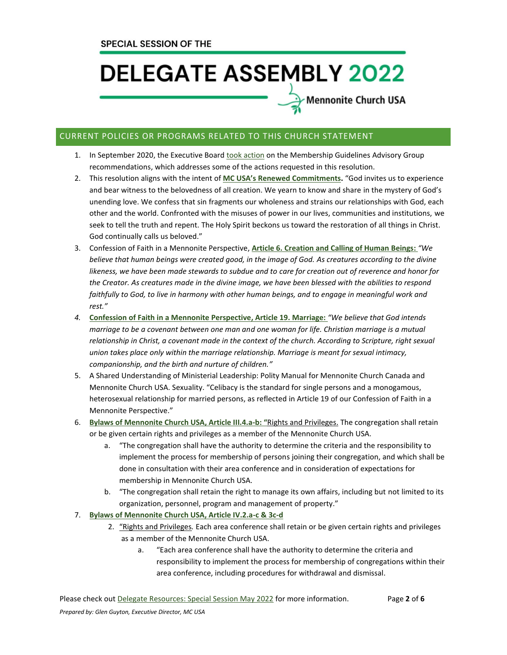Mennonite Church USA

# CURRENT POLICIES OR PROGRAMS RELATED TO THIS CHURCH STATEMENT

- 1. In September 2020, the Executive Board [took action](https://www.mennoniteusa.org/news/processes-advisory-group-report/) on the Membership Guidelines Advisory Group recommendations, which addresses some of the actions requested in this resolution.
- 2. This resolution aligns with the intent of **MC USA's [Renewed Commitments.](https://www.mennoniteusa.org/resource-portal/resource/renewed-commitments-for-mc-usa/)** "God invites us to experience and bear witness to the belovedness of all creation. We yearn to know and share in the mystery of God's unending love. We confess that sin fragments our wholeness and strains our relationships with God, each other and the world. Confronted with the misuses of power in our lives, communities and institutions, we seek to tell the truth and repent. The Holy Spirit beckons us toward the restoration of all things in Christ. God continually calls us beloved."
- 3. Confession of Faith in a Mennonite Perspective, **[Article 6. Creation and Calling of Human Beings:](https://www.mennoniteusa.org/who-are-mennonites/what-we-believe/confession-of-faith/creation-and-calling-of-human-beings/)** *"We believe that human beings were created good, in the image of God. As creatures according to the divine likeness, we have been made stewards to subdue and to care for creation out of reverence and honor for the Creator. As creatures made in the divine image, we have been blessed with the abilities to respond*  faithfully to God, to live in harmony with other human beings, and to engage in meaningful work and *rest."*
- *4.* **[Confession of Faith in a Mennonite Perspective,](https://www.mennoniteusa.org/who-are-mennonites/what-we-believe/confession-of-faith/marriage/) Article 19. Marriage:** *"We believe that God intends marriage to be a covenant between one man and one woman for life. Christian marriage is a mutual relationship in Christ, a covenant made in the context of the church. According to Scripture, right sexual union takes place only within the marriage relationship. Marriage is meant for sexual intimacy, companionship, and the birth and nurture of children."*
- 5. A Shared Understanding of Ministerial Leadership: Polity Manual for Mennonite Church Canada and Mennonite Church USA. Sexuality. "Celibacy is the standard for single persons and a monogamous, heterosexual relationship for married persons, as reflected in Article 19 of our Confession of Faith in a Mennonite Perspective."
- 6. **[Bylaws of Mennonite Church USA, Article III.4.a-b:](https://www.mennoniteusa.org/wp-content/uploads/2020/08/Bylaws-Approved-2021-Delegate-Assembly-July-10.pdf) "**Rights and Privileges. The congregation shall retain or be given certain rights and privileges as a member of the Mennonite Church USA.
	- a. "The congregation shall have the authority to determine the criteria and the responsibility to implement the process for membership of persons joining their congregation, and which shall be done in consultation with their area conference and in consideration of expectations for membership in Mennonite Church USA.
	- b. "The congregation shall retain the right to manage its own affairs, including but not limited to its organization, personnel, program and management of property."

### 7. **[Bylaws of Mennonite Church USA, Article IV.2.a-c](https://www.mennoniteusa.org/wp-content/uploads/2020/08/Bylaws-Approved-2021-Delegate-Assembly-July-10.pdf) & 3c-d**

- 2. "Rights and Privileges*.* Each area conference shall retain or be given certain rights and privileges as a member of the Mennonite Church USA.
	- a. "Each area conference shall have the authority to determine the criteria and responsibility to implement the process for membership of congregations within their area conference, including procedures for withdrawal and dismissal.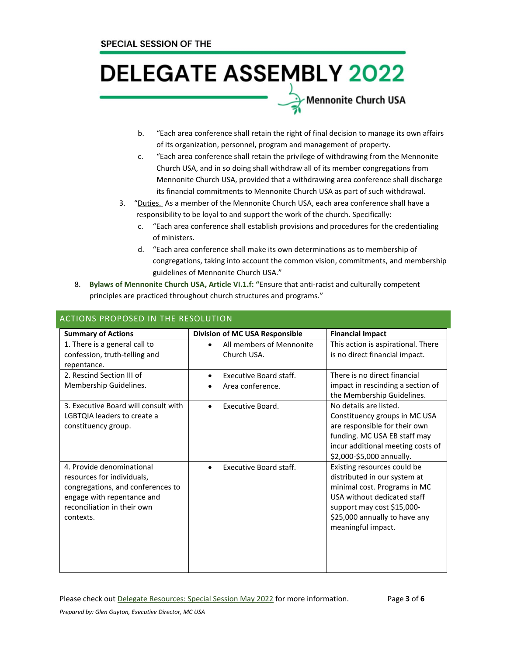Mennonite Church USA

- b. "Each area conference shall retain the right of final decision to manage its own affairs of its organization, personnel, program and management of property.
- c. "Each area conference shall retain the privilege of withdrawing from the Mennonite Church USA, and in so doing shall withdraw all of its member congregations from Mennonite Church USA, provided that a withdrawing area conference shall discharge its financial commitments to Mennonite Church USA as part of such withdrawal.
- 3. "Duties. As a member of the Mennonite Church USA, each area conference shall have a responsibility to be loyal to and support the work of the church. Specifically:
	- c. "Each area conference shall establish provisions and procedures for the credentialing of ministers.
	- d. "Each area conference shall make its own determinations as to membership of congregations, taking into account the common vision, commitments, and membership guidelines of Mennonite Church USA."
- 8. **[Bylaws of Mennonite Church USA, Article VI.1.f:](https://www.mennoniteusa.org/wp-content/uploads/2020/08/Bylaws-Approved-2021-Delegate-Assembly-July-10.pdf) "**Ensure that anti-racist and culturally competent principles are practiced throughout church structures and programs."

| <b>Summary of Actions</b>                                                                                                                                              | Division of MC USA Responsible             | <b>Financial Impact</b>                                                                                                                                                                                         |
|------------------------------------------------------------------------------------------------------------------------------------------------------------------------|--------------------------------------------|-----------------------------------------------------------------------------------------------------------------------------------------------------------------------------------------------------------------|
| 1. There is a general call to<br>confession, truth-telling and<br>repentance.                                                                                          | All members of Mennonite<br>Church USA.    | This action is aspirational. There<br>is no direct financial impact.                                                                                                                                            |
| 2. Rescind Section III of<br>Membership Guidelines.                                                                                                                    | Executive Board staff.<br>Area conference. | There is no direct financial<br>impact in rescinding a section of<br>the Membership Guidelines.                                                                                                                 |
| 3. Executive Board will consult with<br>LGBTQIA leaders to create a<br>constituency group.                                                                             | Executive Board.                           | No details are listed.<br>Constituency groups in MC USA<br>are responsible for their own<br>funding. MC USA EB staff may<br>incur additional meeting costs of<br>\$2,000-\$5,000 annually.                      |
| 4. Provide denominational<br>resources for individuals,<br>congregations, and conferences to<br>engage with repentance and<br>reconciliation in their own<br>contexts. | <b>Executive Board staff.</b>              | Existing resources could be<br>distributed in our system at<br>minimal cost. Programs in MC<br>USA without dedicated staff<br>support may cost \$15,000-<br>\$25,000 annually to have any<br>meaningful impact. |

# ACTIONS PROPOSED IN THE RESOLUTION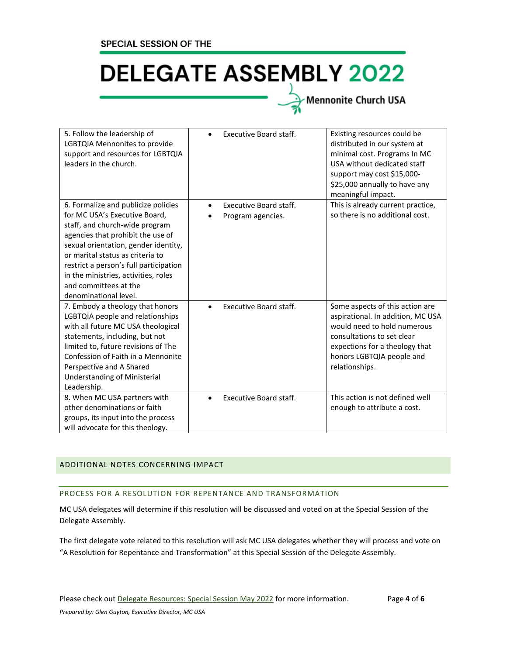# Mennonite Church USA

| 5. Follow the leadership of<br>LGBTQIA Mennonites to provide<br>support and resources for LGBTQIA<br>leaders in the church.                                                                                                                                                                                                                                 | <b>Executive Board staff.</b>                            | Existing resources could be<br>distributed in our system at<br>minimal cost. Programs In MC<br>USA without dedicated staff<br>support may cost \$15,000-<br>\$25,000 annually to have any<br>meaningful impact.    |
|-------------------------------------------------------------------------------------------------------------------------------------------------------------------------------------------------------------------------------------------------------------------------------------------------------------------------------------------------------------|----------------------------------------------------------|--------------------------------------------------------------------------------------------------------------------------------------------------------------------------------------------------------------------|
| 6. Formalize and publicize policies<br>for MC USA's Executive Board,<br>staff, and church-wide program<br>agencies that prohibit the use of<br>sexual orientation, gender identity,<br>or marital status as criteria to<br>restrict a person's full participation<br>in the ministries, activities, roles<br>and committees at the<br>denominational level. | Executive Board staff.<br>$\bullet$<br>Program agencies. | This is already current practice,<br>so there is no additional cost.                                                                                                                                               |
| 7. Embody a theology that honors<br>LGBTQIA people and relationships<br>with all future MC USA theological<br>statements, including, but not<br>limited to, future revisions of The<br>Confession of Faith in a Mennonite<br>Perspective and A Shared<br>Understanding of Ministerial<br>Leadership.                                                        | <b>Executive Board staff.</b>                            | Some aspects of this action are<br>aspirational. In addition, MC USA<br>would need to hold numerous<br>consultations to set clear<br>expections for a theology that<br>honors LGBTQIA people and<br>relationships. |
| 8. When MC USA partners with<br>other denominations or faith<br>groups, its input into the process<br>will advocate for this theology.                                                                                                                                                                                                                      | <b>Executive Board staff.</b><br>$\bullet$               | This action is not defined well<br>enough to attribute a cost.                                                                                                                                                     |

# ADDITIONAL NOTES CONCERNING IMPACT

# PROCESS FOR A RESOLUTION FOR REPENTANCE AND TRANSFORMATION

MC USA delegates will determine if this resolution will be discussed and voted on at the Special Session of the Delegate Assembly.

The first delegate vote related to this resolution will ask MC USA delegates whether they will process and vote on "A Resolution for Repentance and Transformation" at this Special Session of the Delegate Assembly.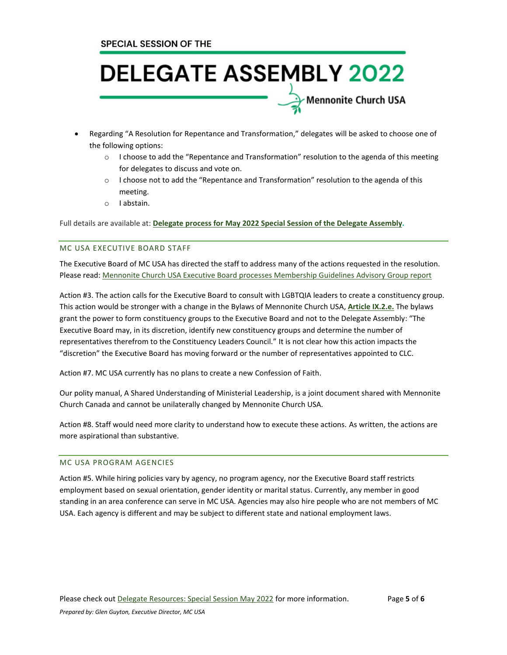- Regarding "A Resolution for Repentance and Transformation," delegates will be asked to choose one of the following options:
	- $\circ$  I choose to add the "Repentance and Transformation" resolution to the agenda of this meeting for delegates to discuss and vote on.

Mennonite Church USA

- o I choose not to add the "Repentance and Transformation" resolution to the agenda of this meeting.
- o I abstain.

Full details are available at: **Delegate process for May 2022 Special Session of the Delegate [Assembly.](https://www.mennoniteusa.org/wp-content/uploads/2021/12/Process-Outline-for-the-Special-Delegate-Assembly-2022_FINAL_12_6.pdf)**

### MC USA EXECUTIVE BOARD STAFF

The Executive Board of MC USA has directed the staff to address many of the actions requested in the resolution. Please read: [Mennonite Church USA Executive Board processes Membership Guidelines Advisory Group report](https://www.mennoniteusa.org/news/processes-advisory-group-report/)

Action #3. The action calls for the Executive Board to consult with LGBTQIA leaders to create a constituency group. This action would be stronger with a change in the Bylaws of Mennonite Church USA, **[Article IX.2.e.](https://www.mennoniteusa.org/wp-content/uploads/2020/08/Bylaws-Approved-2021-Delegate-Assembly-July-10.pdf)** The bylaws grant the power to form constituency groups to the Executive Board and not to the Delegate Assembly: "The Executive Board may, in its discretion, identify new constituency groups and determine the number of representatives therefrom to the Constituency Leaders Council." It is not clear how this action impacts the "discretion" the Executive Board has moving forward or the number of representatives appointed to CLC.

Action #7. MC USA currently has no plans to create a new Confession of Faith.

Our polity manual, A Shared Understanding of Ministerial Leadership, is a joint document shared with Mennonite Church Canada and cannot be unilaterally changed by Mennonite Church USA.

Action #8. Staff would need more clarity to understand how to execute these actions. As written, the actions are more aspirational than substantive.

### MC USA PROGRAM AGENCIES

Action #5. While hiring policies vary by agency, no program agency, nor the Executive Board staff restricts employment based on sexual orientation, gender identity or marital status. Currently, any member in good standing in an area conference can serve in MC USA. Agencies may also hire people who are not members of MC USA. Each agency is different and may be subject to different state and national employment laws.